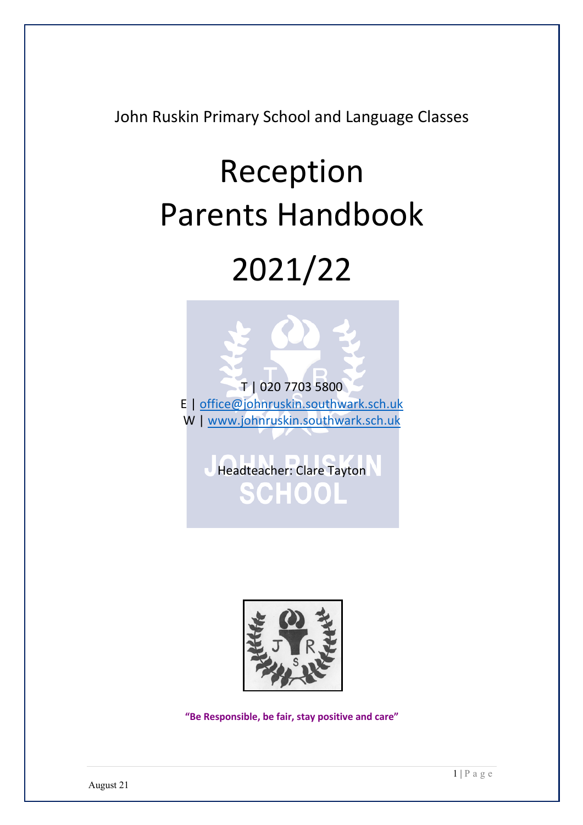John Ruskin Primary School and Language Classes

# Reception Parents Handbook 2021/22



Headteacher: Clare Tayton SCHOOL



**"Be Responsible, be fair, stay positive and care"**

August 21

1 | Page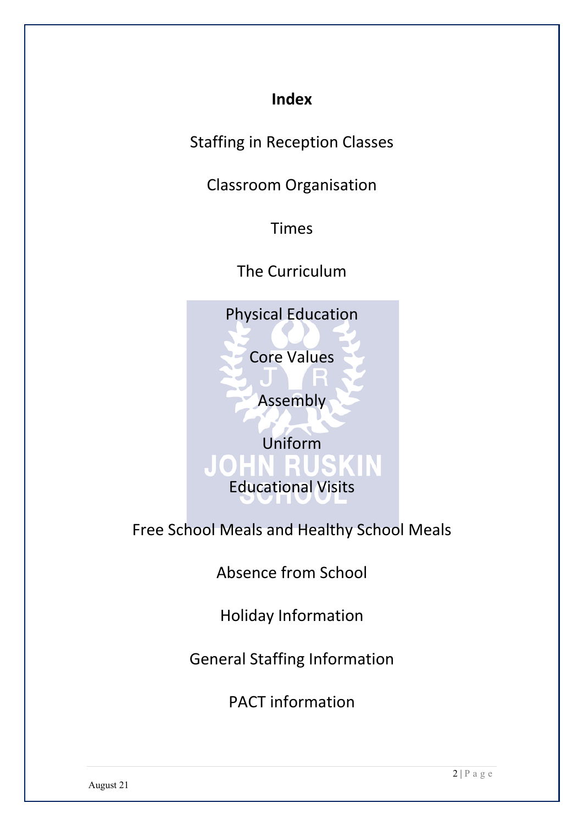## **Index**

Staffing in Reception Classes

Classroom Organisation

Times

The Curriculum

Physical Education

Core Values

Assembly

Uniform Educational Visits

Free School Meals and Healthy School Meals

Absence from School

Holiday Information

General Staffing Information

PACT information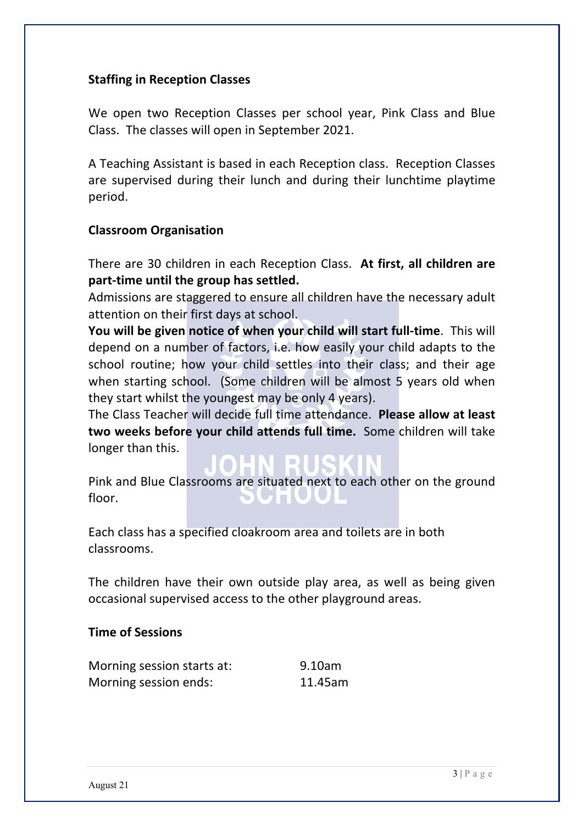#### **Staffing in Reception Classes**

We open two Reception Classes per school year, Pink Class and Blue Class. The classes will open in September 2021.

A Teaching Assistant is based in each Reception class. Reception Classes are supervised during their lunch and during their lunchtime playtime period.

#### **Classroom Organisation**

There are 30 children in each Reception Class. **At first, all children are part-time until the group has settled.**

Admissions are staggered to ensure all children have the necessary adult attention on their first days at school.

**You will be given notice of when your child will start full-time**. This will depend on a number of factors, i.e. how easily your child adapts to the school routine; how your child settles into their class; and their age when starting school. (Some children will be almost 5 years old when they start whilst the youngest may be only 4 years).

The Class Teacher will decide full time attendance. **Please allow at least two weeks before your child attends full time.** Some children will take longer than this.

Pink and Blue Classrooms are situated next to each other on the ground floor.

Each class has a specified cloakroom area and toilets are in both classrooms.

The children have their own outside play area, as well as being given occasional supervised access to the other playground areas.

#### **Time of Sessions**

| Morning session starts at: | 9.10am  |
|----------------------------|---------|
| Morning session ends:      | 11.45am |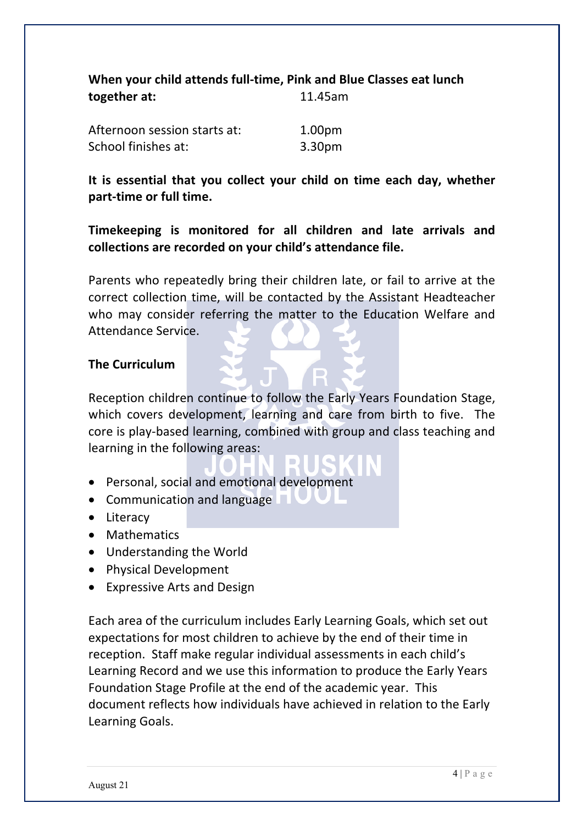|              | When your child attends full-time, Pink and Blue Classes eat lunch |
|--------------|--------------------------------------------------------------------|
| together at: | 11.45am                                                            |
|              |                                                                    |

| Afternoon session starts at: | 1.00 <sub>pm</sub> |
|------------------------------|--------------------|
| School finishes at:          | 3.30pm             |

**It is essential that you collect your child on time each day, whether part-time or full time.**

**Timekeeping is monitored for all children and late arrivals and collections are recorded on your child's attendance file.**

Parents who repeatedly bring their children late, or fail to arrive at the correct collection time, will be contacted by the Assistant Headteacher who may consider referring the matter to the Education Welfare and Attendance Service.

#### **The Curriculum**

Reception children continue to follow the Early Years Foundation Stage, which covers development, learning and care from birth to five. The core is play-based learning, combined with group and class teaching and learning in the following areas:

- Personal, social and emotional development
- Communication and language
- Literacy
- Mathematics
- Understanding the World
- Physical Development
- Expressive Arts and Design

Each area of the curriculum includes Early Learning Goals, which set out expectations for most children to achieve by the end of their time in reception. Staff make regular individual assessments in each child's Learning Record and we use this information to produce the Early Years Foundation Stage Profile at the end of the academic year. This document reflects how individuals have achieved in relation to the Early Learning Goals.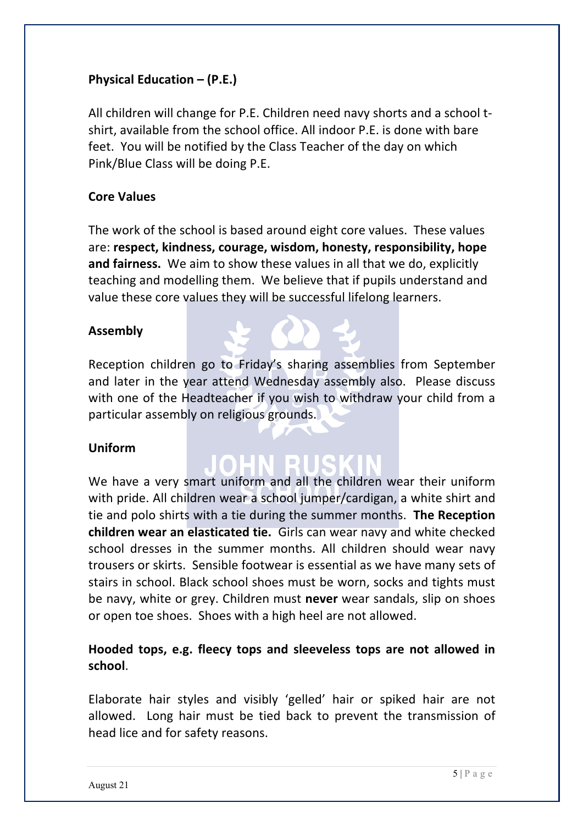### **Physical Education – (P.E.)**

All children will change for P.E. Children need navy shorts and a school tshirt, available from the school office. All indoor P.E. is done with bare feet. You will be notified by the Class Teacher of the day on which Pink/Blue Class will be doing P.E.

#### **Core Values**

The work of the school is based around eight core values. These values are: **respect, kindness, courage, wisdom, honesty, responsibility, hope and fairness.** We aim to show these values in all that we do, explicitly teaching and modelling them. We believe that if pupils understand and value these core values they will be successful lifelong learners.

#### **Assembly**

Reception children go to Friday's sharing assemblies from September and later in the year attend Wednesday assembly also. Please discuss with one of the Headteacher if you wish to withdraw your child from a particular assembly on religious grounds.

#### **Uniform**

We have a very smart uniform and all the children wear their uniform with pride. All children wear a school jumper/cardigan, a white shirt and tie and polo shirts with a tie during the summer months. **The Reception children wear an elasticated tie.** Girls can wear navy and white checked school dresses in the summer months. All children should wear navy trousers or skirts. Sensible footwear is essential as we have many sets of stairs in school. Black school shoes must be worn, socks and tights must be navy, white or grey. Children must **never** wear sandals, slip on shoes or open toe shoes. Shoes with a high heel are not allowed.

### **Hooded tops, e.g. fleecy tops and sleeveless tops are not allowed in school**.

Elaborate hair styles and visibly 'gelled' hair or spiked hair are not allowed. Long hair must be tied back to prevent the transmission of head lice and for safety reasons.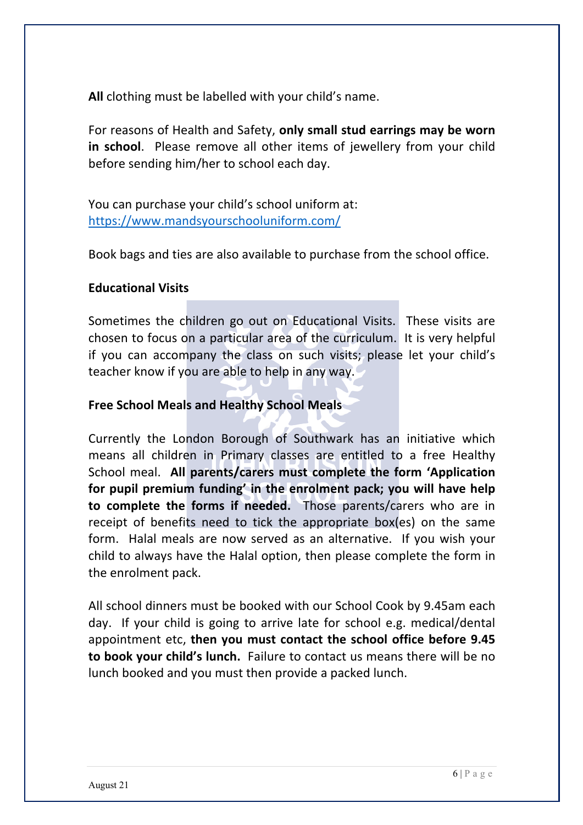**All** clothing must be labelled with your child's name.

For reasons of Health and Safety, **only small stud earrings may be worn in school**. Please remove all other items of jewellery from your child before sending him/her to school each day.

You can purchase your child's school uniform at: https://www.mandsyourschooluniform.com/

Book bags and ties are also available to purchase from the school office.

#### **Educational Visits**

Sometimes the children go out on Educational Visits. These visits are chosen to focus on a particular area of the curriculum. It is very helpful if you can accompany the class on such visits; please let your child's teacher know if you are able to help in any way.

#### **Free School Meals and Healthy School Meals**

Currently the London Borough of Southwark has an initiative which means all children in Primary classes are entitled to a free Healthy School meal. **All parents/carers must complete the form 'Application for pupil premium funding' in the enrolment pack; you will have help to complete the forms if needed.** Those parents/carers who are in receipt of benefits need to tick the appropriate box(es) on the same form. Halal meals are now served as an alternative. If you wish your child to always have the Halal option, then please complete the form in the enrolment pack.

All school dinners must be booked with our School Cook by 9.45am each day. If your child is going to arrive late for school e.g. medical/dental appointment etc, **then you must contact the school office before 9.45 to book your child's lunch.** Failure to contact us means there will be no lunch booked and you must then provide a packed lunch.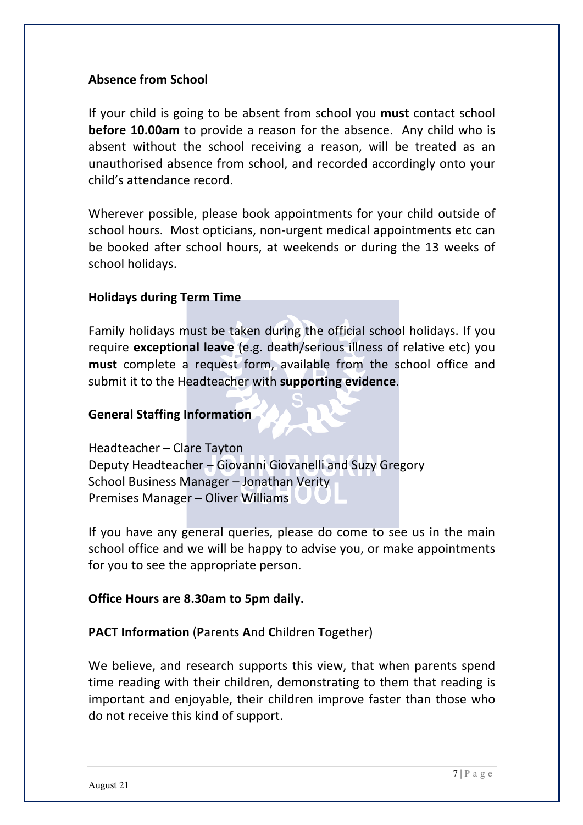#### **Absence from School**

If your child is going to be absent from school you **must** contact school **before 10.00am** to provide a reason for the absence. Any child who is absent without the school receiving a reason, will be treated as an unauthorised absence from school, and recorded accordingly onto your child's attendance record.

Wherever possible, please book appointments for your child outside of school hours. Most opticians, non-urgent medical appointments etc can be booked after school hours, at weekends or during the 13 weeks of school holidays.

#### **Holidays during Term Time**

Family holidays must be taken during the official school holidays. If you require **exceptional leave** (e.g. death/serious illness of relative etc) you **must** complete a request form, available from the school office and submit it to the Headteacher with **supporting evidence**.

#### **General Staffing Information**

Headteacher – Clare Tayton Deputy Headteacher – Giovanni Giovanelli and Suzy Gregory School Business Manager – Jonathan Verity Premises Manager – Oliver Williams

If you have any general queries, please do come to see us in the main school office and we will be happy to advise you, or make appointments for you to see the appropriate person.

#### **Office Hours are 8.30am to 5pm daily.**

**PACT Information** (**P**arents **A**nd **C**hildren **T**ogether)

We believe, and research supports this view, that when parents spend time reading with their children, demonstrating to them that reading is important and enjoyable, their children improve faster than those who do not receive this kind of support.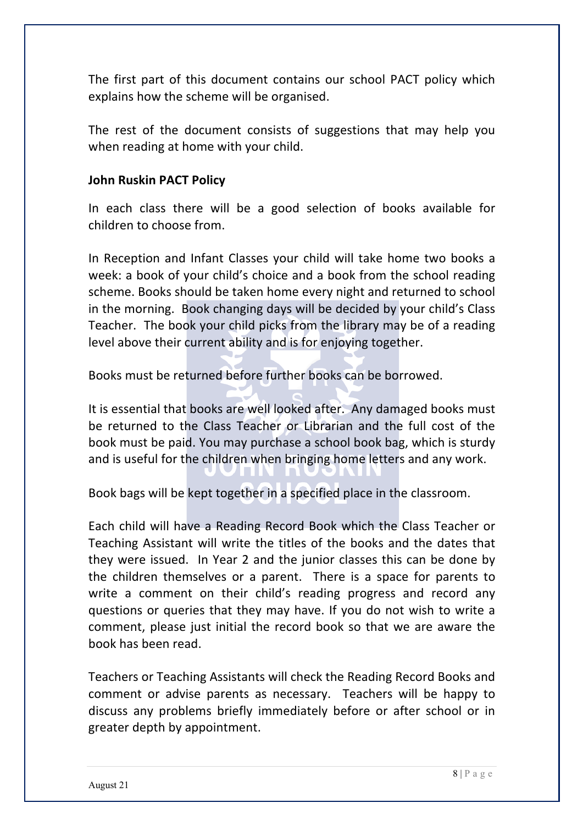The first part of this document contains our school PACT policy which explains how the scheme will be organised.

The rest of the document consists of suggestions that may help you when reading at home with your child.

#### **John Ruskin PACT Policy**

In each class there will be a good selection of books available for children to choose from.

In Reception and Infant Classes your child will take home two books a week: a book of your child's choice and a book from the school reading scheme. Books should be taken home every night and returned to school in the morning. Book changing days will be decided by your child's Class Teacher. The book your child picks from the library may be of a reading level above their current ability and is for enjoying together.

Books must be returned before further books can be borrowed.

It is essential that books are well looked after. Any damaged books must be returned to the Class Teacher or Librarian and the full cost of the book must be paid. You may purchase a school book bag, which is sturdy and is useful for the children when bringing home letters and any work.

Book bags will be kept together in a specified place in the classroom.

Each child will have a Reading Record Book which the Class Teacher or Teaching Assistant will write the titles of the books and the dates that they were issued. In Year 2 and the junior classes this can be done by the children themselves or a parent. There is a space for parents to write a comment on their child's reading progress and record any questions or queries that they may have. If you do not wish to write a comment, please just initial the record book so that we are aware the book has been read.

Teachers or Teaching Assistants will check the Reading Record Books and comment or advise parents as necessary. Teachers will be happy to discuss any problems briefly immediately before or after school or in greater depth by appointment.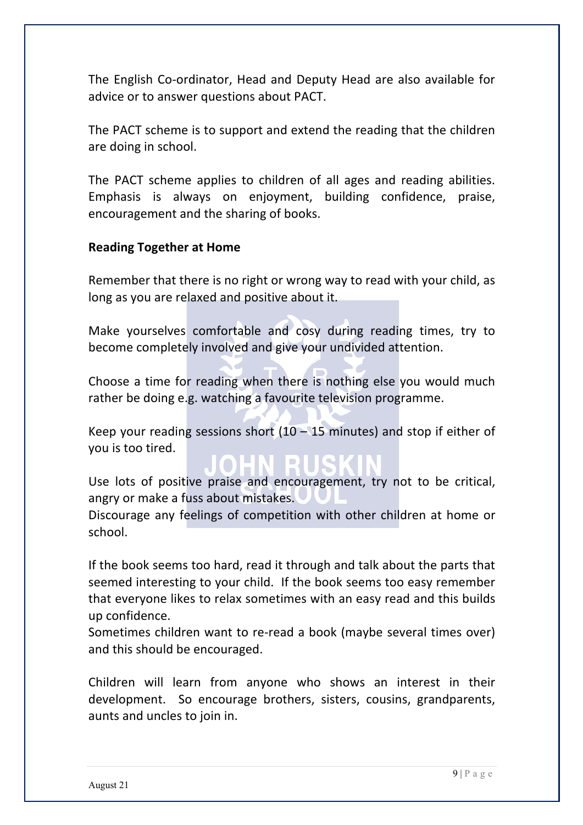The English Co-ordinator, Head and Deputy Head are also available for advice or to answer questions about PACT.

The PACT scheme is to support and extend the reading that the children are doing in school.

The PACT scheme applies to children of all ages and reading abilities. Emphasis is always on enjoyment, building confidence, praise, encouragement and the sharing of books.

#### **Reading Together at Home**

Remember that there is no right or wrong way to read with your child, as long as you are relaxed and positive about it.

Make yourselves comfortable and cosy during reading times, try to become completely involved and give your undivided attention.

Choose a time for reading when there is nothing else you would much rather be doing e.g. watching a favourite television programme.

Keep your reading sessions short  $(10 - 15$  minutes) and stop if either of you is too tired.

Use lots of positive praise and encouragement, try not to be critical, angry or make a fuss about mistakes.

Discourage any feelings of competition with other children at home or school.

If the book seems too hard, read it through and talk about the parts that seemed interesting to your child. If the book seems too easy remember that everyone likes to relax sometimes with an easy read and this builds up confidence.

Sometimes children want to re-read a book (maybe several times over) and this should be encouraged.

Children will learn from anyone who shows an interest in their development. So encourage brothers, sisters, cousins, grandparents, aunts and uncles to join in.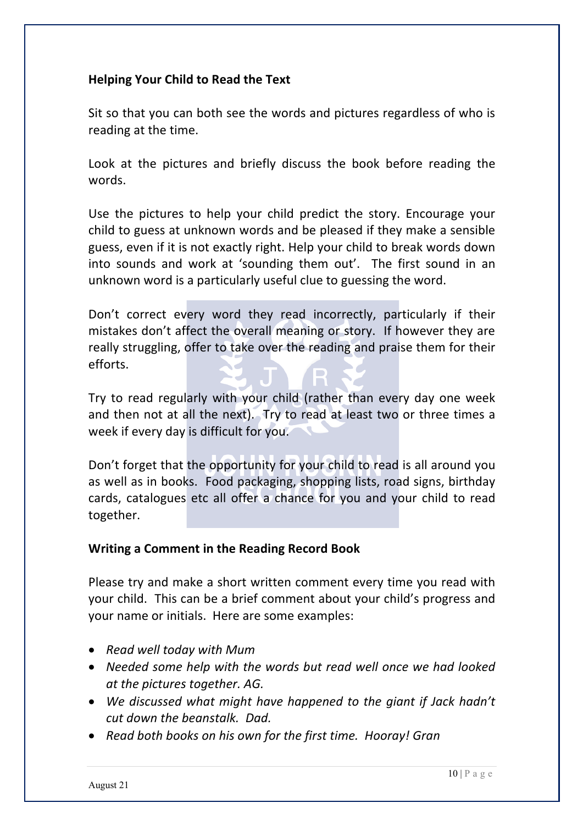#### **Helping Your Child to Read the Text**

Sit so that you can both see the words and pictures regardless of who is reading at the time.

Look at the pictures and briefly discuss the book before reading the words.

Use the pictures to help your child predict the story. Encourage your child to guess at unknown words and be pleased if they make a sensible guess, even if it is not exactly right. Help your child to break words down into sounds and work at 'sounding them out'. The first sound in an unknown word is a particularly useful clue to guessing the word.

Don't correct every word they read incorrectly, particularly if their mistakes don't affect the overall meaning or story. If however they are really struggling, offer to take over the reading and praise them for their efforts.

Try to read regularly with your child (rather than every day one week and then not at all the next). Try to read at least two or three times a week if every day is difficult for you.

Don't forget that the opportunity for your child to read is all around you as well as in books. Food packaging, shopping lists, road signs, birthday cards, catalogues etc all offer a chance for you and your child to read together.

#### **Writing a Comment in the Reading Record Book**

Please try and make a short written comment every time you read with your child. This can be a brief comment about your child's progress and your name or initials. Here are some examples:

- *Read well today with Mum*
- *Needed some help with the words but read well once we had looked at the pictures together. AG.*
- *We discussed what might have happened to the giant if Jack hadn't cut down the beanstalk. Dad.*
- *Read both books on his own for the first time. Hooray! Gran*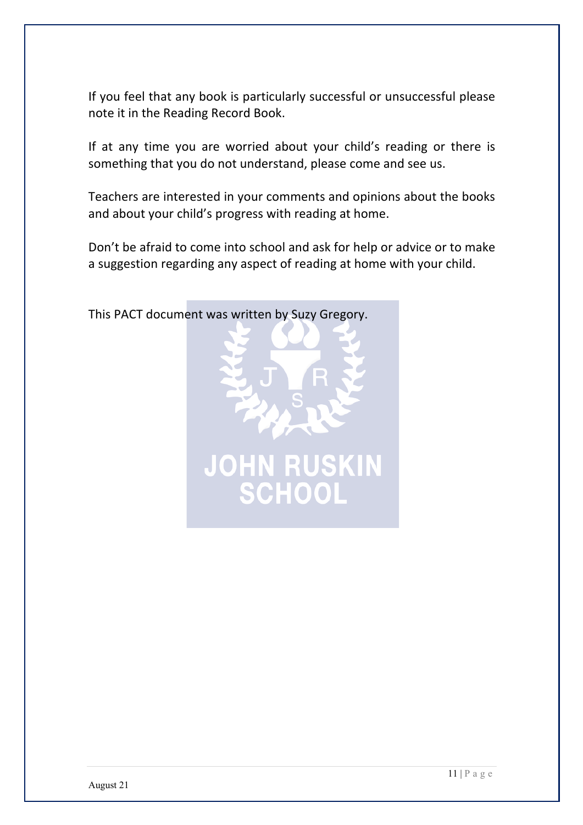If you feel that any book is particularly successful or unsuccessful please note it in the Reading Record Book.

If at any time you are worried about your child's reading or there is something that you do not understand, please come and see us.

Teachers are interested in your comments and opinions about the books and about your child's progress with reading at home.

Don't be afraid to come into school and ask for help or advice or to make a suggestion regarding any aspect of reading at home with your child.



This PACT document was written by Suzy Gregory.